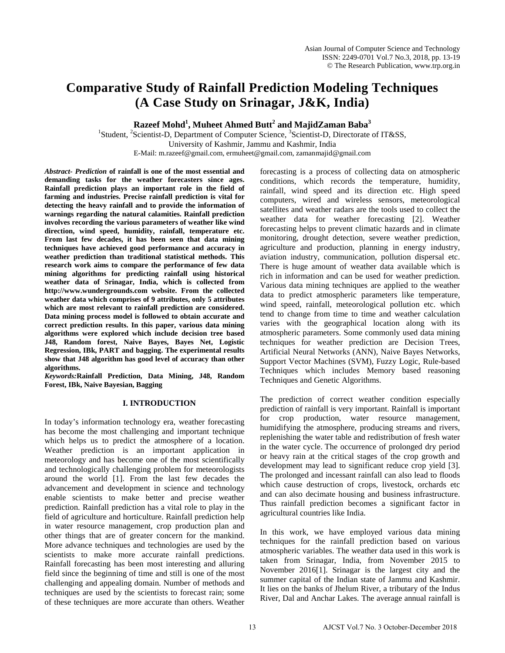# **Comparative Study of Rainfall Prediction Modeling Techniques (A Case Study on Srinagar, J&K, India)**

**Razeef Mohd1 , Muheet Ahmed Butt<sup>2</sup> and MajidZaman Baba<sup>3</sup>**

<sup>1</sup>Student, <sup>2</sup>Scientist-D, Department of Computer Science, <sup>3</sup>Scientist-D, Directorate of IT&SS, University of Kashmir, Jammu and Kashmir, India E-Mail: m.razeef@gmail.com, ermuheet@gmail.com, zamanmajid@gmail.com

*Abstract- Prediction* **of rainfall is one of the most essential and demanding tasks for the weather forecasters since ages. Rainfall prediction plays an important role in the field of farming and industries. Precise rainfall prediction is vital for detecting the heavy rainfall and to provide the information of warnings regarding the natural calamities. Rainfall prediction involves recording the various parameters of weather like wind direction, wind speed, humidity, rainfall, temperature etc. From last few decades, it has been seen that data mining techniques have achieved good performance and accuracy in weather prediction than traditional statistical methods. This research work aims to compare the performance of few data mining algorithms for predicting rainfall using historical weather data of Srinagar, India, which is collected from [http://www.wundergrounds.com](http://www.wundergrounds.com/) website. From the collected weather data which comprises of 9 attributes, only 5 attributes which are most relevant to rainfall prediction are considered. Data mining process model is followed to obtain accurate and correct prediction results. In this paper, various data mining algorithms were explored which include decision tree based J48, Random forest, Naive Bayes, Bayes Net, Logistic Regression, IBk, PART and bagging. The experimental results show that J48 algorithm has good level of accuracy than other algorithms.**

*Keywords:***Rainfall Prediction, Data Mining, J48, Random Forest, IBk, Naive Bayesian, Bagging**

# **I. INTRODUCTION**

In today's information technology era, weather forecasting has become the most challenging and important technique which helps us to predict the atmosphere of a location. Weather prediction is an important application in meteorology and has become one of the most scientifically and technologically challenging problem for meteorologists around the world [1]. From the last few decades the advancement and development in science and technology enable scientists to make better and precise weather prediction. Rainfall prediction has a vital role to play in the field of agriculture and horticulture. Rainfall prediction help in water resource management, crop production plan and other things that are of greater concern for the mankind. More advance techniques and technologies are used by the scientists to make more accurate rainfall predictions. Rainfall forecasting has been most interesting and alluring field since the beginning of time and still is one of the most challenging and appealing domain. Number of methods and techniques are used by the scientists to forecast rain; some of these techniques are more accurate than others. Weather forecasting is a process of collecting data on atmospheric conditions, which records the temperature, humidity, rainfall, wind speed and its direction etc. High speed computers, wired and wireless sensors, meteorological satellites and weather radars are the tools used to collect the weather data for weather forecasting [2]. Weather forecasting helps to prevent climatic hazards and in climate monitoring, drought detection, severe weather prediction, agriculture and production, planning in energy industry, aviation industry, communication, pollution dispersal etc. There is huge amount of weather data available which is rich in information and can be used for weather prediction. Various data mining techniques are applied to the weather data to predict atmospheric parameters like temperature, wind speed, rainfall, meteorological pollution etc. which tend to change from time to time and weather calculation varies with the geographical location along with its atmospheric parameters. Some commonly used data mining techniques for weather prediction are Decision Trees, Artificial Neural Networks (ANN), Naive Bayes Networks, Support Vector Machines (SVM), Fuzzy Logic, Rule-based Techniques which includes Memory based reasoning Techniques and Genetic Algorithms.

The prediction of correct weather condition especially prediction of rainfall is very important. Rainfall is important for crop production, water resource management, humidifying the atmosphere, producing streams and rivers, replenishing the water table and redistribution of fresh water in the water cycle. The occurrence of prolonged dry period or heavy rain at the critical stages of the crop growth and development may lead to significant reduce crop yield [3]. The prolonged and incessant rainfall can also lead to floods which cause destruction of crops, livestock, orchards etc and can also decimate housing and business infrastructure. Thus rainfall prediction becomes a significant factor in agricultural countries like India.

In this work, we have employed various data mining techniques for the rainfall prediction based on various atmospheric variables. The weather data used in this work is taken from Srinagar, India, from November 2015 to November 2016[1]. Srinagar is the largest city and the summer capital of the Indian state of Jammu and Kashmir. It lies on the banks of Jhelum River, a tributary of the Indus River, Dal and Anchar Lakes. The average annual rainfall is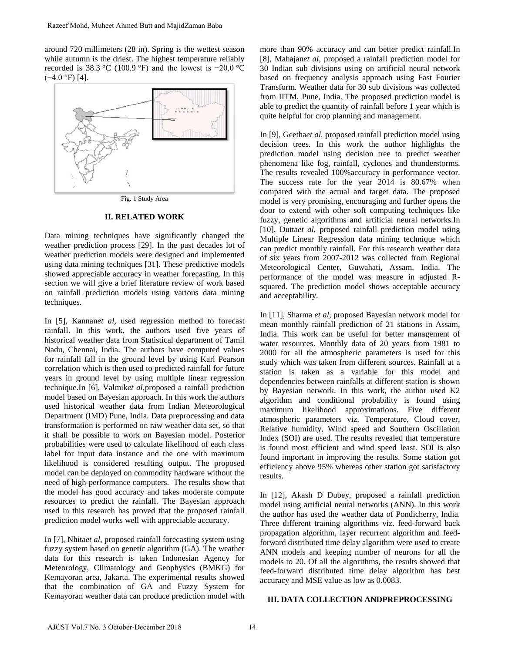around 720 millimeters (28 in). Spring is the wettest season while autumn is the driest. The highest temperature reliably recorded is 38.3 °C (100.9 °F) and the lowest is −20.0 °C  $(-4.0 °F)$  [4].



Fig. 1 Study Area

## **II. RELATED WORK**

Data mining techniques have significantly changed the weather prediction process [29]. In the past decades lot of weather prediction models were designed and implemented using data mining techniques [31]. These predictive models showed appreciable accuracy in weather forecasting. In this section we will give a brief literature review of work based on rainfall prediction models using various data mining techniques.

In [5], Kannan*et al,* used regression method to forecast rainfall. In this work, the authors used five years of historical weather data from Statistical department of Tamil Nadu, Chennai, India. The authors have computed values for rainfall fall in the ground level by using Karl Pearson correlation which is then used to predicted rainfall for future years in ground level by using multiple linear regression technique.In [6], Valmik*et al,*proposed a rainfall prediction model based on Bayesian approach. In this work the authors used historical weather data from Indian Meteorological Department (IMD) Pune, India. Data preprocessing and data transformation is performed on raw weather data set, so that it shall be possible to work on Bayesian model. Posterior probabilities were used to calculate likelihood of each class label for input data instance and the one with maximum likelihood is considered resulting output. The proposed model can be deployed on commodity hardware without the need of high-performance computers. The results show that the model has good accuracy and takes moderate compute resources to predict the rainfall. The Bayesian approach used in this research has proved that the proposed rainfall prediction model works well with appreciable accuracy. Razeef Mohd, Muheet Ahmed Butt and MajidZaman Baba<br>
which autumn is the drisst: (28 Sh). Spring is the wettest season<br>
continue autumn is the drisst: The highest temperature reliably<br>
ecorded is 38.3 °C (100.9 °F) and the

In [7], Nhita*et al,* proposed rainfall forecasting system using fuzzy system based on genetic algorithm (GA). The weather data for this research is taken Indonesian Agency for Meteorology, Climatology and Geophysics (BMKG) for Kemayoran area, Jakarta. The experimental results showed that the combination of GA and Fuzzy System for Kemayoran weather data can produce prediction model with more than 90% accuracy and can better predict rainfall.In [8], Mahajan*et al,* proposed a rainfall prediction model for 30 Indian sub divisions using on artificial neural network based on frequency analysis approach using Fast Fourier Transform. Weather data for 30 sub divisions was collected from IITM, Pune, India. The proposed prediction model is able to predict the quantity of rainfall before 1 year which is quite helpful for crop planning and management.

In [9], Geetha*et al,* proposed rainfall prediction model using decision trees. In this work the author highlights the prediction model using decision tree to predict weather phenomena like fog, rainfall, cyclones and thunderstorms. The results revealed 100%accuracy in performance vector. The success rate for the year 2014 is 80.67% when compared with the actual and target data. The proposed model is very promising, encouraging and further opens the door to extend with other soft computing techniques like fuzzy, genetic algorithms and artificial neural networks.In [10], Duttaet al, proposed rainfall prediction model using Multiple Linear Regression data mining technique which can predict monthly rainfall. For this research weather data of six years from 2007-2012 was collected from Regional Meteorological Center, Guwahati, Assam, India. The performance of the model was measure in adjusted Rsquared. The prediction model shows acceptable accuracy and acceptability.

In [11], Sharma *et al,* proposed Bayesian network model for mean monthly rainfall prediction of 21 stations in Assam, India. This work can be useful for better management of water resources. Monthly data of 20 years from 1981 to 2000 for all the atmospheric parameters is used for this study which was taken from different sources. Rainfall at a station is taken as a variable for this model and dependencies between rainfalls at different station is shown by Bayesian network. In this work, the author used K2 algorithm and conditional probability is found using maximum likelihood approximations. Five different atmospheric parameters viz. Temperature, Cloud cover, Relative humidity, Wind speed and Southern Oscillation Index (SOI) are used. The results revealed that temperature is found most efficient and wind speed least. SOI is also found important in improving the results. Some station got efficiency above 95% whereas other station got satisfactory results.

In [12], Akash D Dubey, proposed a rainfall prediction model using artificial neural networks (ANN). In this work the author has used the weather data of Pondicherry, India. Three different training algorithms viz. feed-forward back propagation algorithm, layer recurrent algorithm and feedforward distributed time delay algorithm were used to create ANN models and keeping number of neurons for all the models to 20. Of all the algorithms, the results showed that feed-forward distributed time delay algorithm has best accuracy and MSE value as low as 0.0083.

# **III. DATA COLLECTION ANDPREPROCESSING**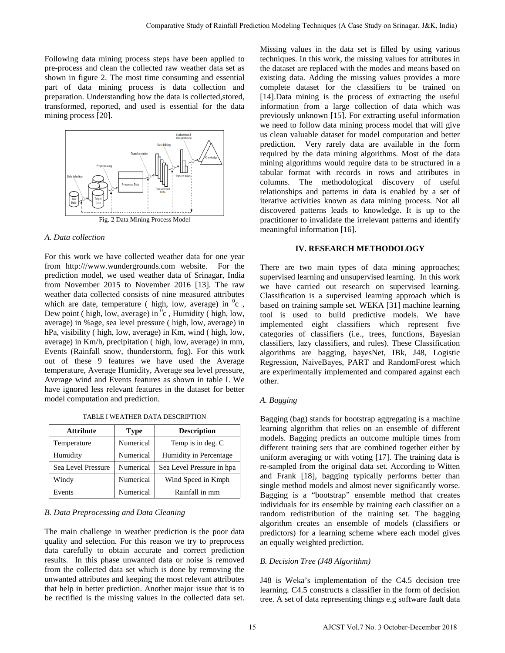Following data mining process steps have been applied to pre-process and clean the collected raw weather data set as shown in figure 2. The most time consuming and essential part of data mining process is data collection and preparation. Understanding how the data is collected,stored, transformed, reported, and used is essential for the data mining process [20].



#### *A. Data collection*

For this work we have collected weather data for one year from http:///www.wundergrounds.com website. For the prediction model, we used weather data of Srinagar, India from November 2015 to November 2016 [13]. The raw weather data collected consists of nine measured attributes which are date, temperature ( high, low, average) in  ${}^{0}c$ , Dew point ( high, low, average) in  ${}^{0}c$  , Humidity ( high, low, average) in %age, sea level pressure ( high, low, average) in hPa, visibility ( high, low, average) in Km, wind ( high, low, average) in Km/h, precipitation ( high, low, average) in mm, Events (Rainfall snow, thunderstorm, fog). For this work out of these 9 features we have used the Average temperature, Average Humidity, Average sea level pressure, Average wind and Events features as shown in table I. We have ignored less relevant features in the dataset for better model computation and prediction.

TABLE I WEATHER DATA DESCRIPTION

| <b>Attribute</b>   | <b>Type</b> | <b>Description</b>        |  |  |  |
|--------------------|-------------|---------------------------|--|--|--|
| Temperature        | Numerical   | Temp is in deg. C         |  |  |  |
| Humidity           | Numerical   | Humidity in Percentage    |  |  |  |
| Sea Level Pressure | Numerical   | Sea Level Pressure in hpa |  |  |  |
| Windy              | Numerical   | Wind Speed in Kmph        |  |  |  |
| Events             | Numerical   | Rainfall in mm            |  |  |  |

#### *B. Data Preprocessing and Data Cleaning*

The main challenge in weather prediction is the poor data quality and selection. For this reason we try to preprocess data carefully to obtain accurate and correct prediction results. In this phase unwanted data or noise is removed from the collected data set which is done by removing the unwanted attributes and keeping the most relevant attributes that help in better prediction. Another major issue that is to be rectified is the missing values in the collected data set.

Missing values in the data set is filled by using various techniques. In this work, the missing values for attributes in the dataset are replaced with the modes and means based on existing data. Adding the missing values provides a more complete dataset for the classifiers to be trained on [14].Data mining is the process of extracting the useful information from a large collection of data which was previously unknown [15]. For extracting useful information we need to follow data mining process model that will give us clean valuable dataset for model computation and better prediction. Very rarely data are available in the form required by the data mining algorithms. Most of the data mining algorithms would require data to be structured in a tabular format with records in rows and attributes in columns. The methodological discovery of useful relationships and patterns in data is enabled by a set of iterative activities known as data mining process. Not all discovered patterns leads to knowledge. It is up to the practitioner to invalidate the irrelevant patterns and identify meaningful information [16]. Comparaive Study of Ramial Prediction Modeling Techniques (A Case Study on Stranger, J&K, India)<br>
so steps have been applied to the change altos in the data set is fitted by using various<br>
in the main prediction and restr

#### **IV. RESEARCH METHODOLOGY**

There are two main types of data mining approaches; supervised learning and unsupervised learning. In this work we have carried out research on supervised learning. Classification is a supervised learning approach which is based on training sample set. WEKA [31] machine learning tool is used to build predictive models. We have implemented eight classifiers which represent five categories of classifiers (i.e., trees, functions, Bayesian classifiers, lazy classifiers, and rules). These Classification algorithms are bagging, bayesNet, IBk, J48, Logistic Regression, NaiveBayes, PART and RandomForest which are experimentally implemented and compared against each other.

## *A. Bagging*

Bagging (bag) stands for bootstrap aggregating is a machine learning algorithm that relies on an ensemble of different models. Bagging predicts an outcome multiple times from different training sets that are combined together either by uniform averaging or with voting [17]. The training data is re-sampled from the original data set. According to Witten and Frank [18], bagging typically performs better than single method models and almost never significantly worse. Bagging is a "bootstrap" ensemble method that creates individuals for its ensemble by training each classifier on a random redistribution of the training set. The bagging algorithm creates an ensemble of models (classifiers or predictors) for a learning scheme where each model gives an equally weighted prediction.

## *B. Decision Tree (J48 Algorithm)*

J48 is Weka's implementation of the C4.5 decision tree learning. C4.5 constructs a classifier in the form of decision tree. A set of data representing things e.g software fault data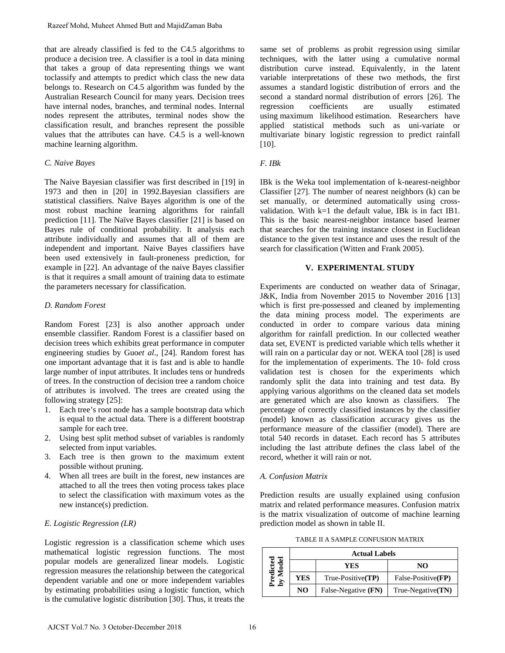that are already classified is fed to the C4.5 algorithms to produce a decision tree. A classifier is a tool in data mining that takes a group of data representing things we want toclassify and attempts to predict which class the new data belongs to. Research on C4.5 algorithm was funded by the Australian Research Council for many years. Decision trees have internal nodes, branches, and terminal nodes. Internal nodes represent the attributes, terminal nodes show the classification result, and branches represent the possible values that the attributes can have. C4.5 is a well-known machine learning algorithm.

#### *C. Naive Bayes*

The Naive Bayesian classifier was first described in [19] in 1973 and then in [20] in 1992.Bayesian classifiers are statistical classifiers. Naïve Bayes algorithm is one of the most robust machine learning algorithms for rainfall prediction [11]. The Naïve Bayes classifier [21] is based on Bayes rule of conditional probability. It analysis each attribute individually and assumes that all of them are independent and important. Naive Bayes classifiers have been used extensively in fault-proneness prediction, for example in [22]. An advantage of the naive Bayes classifier is that it requires a small amount of training data to estimate the parameters necessary for classification. Razeef Mohd, Muheet Ahmed Butt and MajidZaman Baba<br>
that are altered y described is feel to the C4.5 algorithms to<br>
tractact are altered values of the C4.5 algorithms to<br>
tractact are altered with the state a group of dat

# *D. Random Forest*

Random Forest [23] is also another approach under ensemble classifier. Random Forest is a classifier based on decision trees which exhibits great performance in computer engineering studies by Guo*et al*., [24]. Random forest has one important advantage that it is fast and is able to handle large number of input attributes. It includes tens or hundreds of trees. In the construction of decision tree a random choice of attributes is involved. The trees are created using the following strategy [25]:

- 1. Each tree's root node has a sample bootstrap data which is equal to the actual data. There is a different bootstrap sample for each tree.
- 2. Using best split method subset of variables is randomly selected from input variables.
- 3. Each tree is then grown to the maximum extent possible without pruning.
- 4. When all trees are built in the forest, new instances are attached to all the trees then voting process takes place to select the classification with maximum votes as the new instance(s) prediction.

# *E. Logistic Regression (LR)*

Logistic regression is a classification scheme which uses mathematical logistic regression functions. The most popular models are generalized linear models. Logistic regression measures the relationship between the categorical dependent variable and one or more independent variables by estimating probabilities using a [logistic function,](https://en.wikipedia.org/wiki/Logistic_function) which is the cumulative logistic distribution [30]. Thus, it treats the

same set of problems as [probit regression](https://en.wikipedia.org/wiki/Probit_regression) using similar techniques, with the latter using a cumulative normal distribution curve instead. Equivalently, in the latent variable interpretations of these two methods, the first assumes a standard [logistic distribution](https://en.wikipedia.org/wiki/Logistic_distribution) of errors and the second a standard [normal distribution](https://en.wikipedia.org/wiki/Normal_distribution) of errors [26]. The regression coefficients are usually estimated using [maximum likelihood](https://en.wikipedia.org/wiki/Maximum_likelihood) estimation. Researchers have applied statistical methods such as uni-variate or multivariate binary logistic regression to predict rainfall [10].

# *F. IBk*

IBk is the Weka tool implementation of k-nearest-neighbor Classifier [27]. The number of nearest neighbors (k) can be set manually, or determined automatically using crossvalidation. With  $k=1$  the default value. IBk is in fact IB1. This is the basic nearest-neighbor instance based learner that searches for the training instance closest in Euclidean distance to the given test instance and uses the result of the search for classification (Witten and Frank 2005).

#### **V. EXPERIMENTAL STUDY**

Experiments are conducted on weather data of Srinagar, J&K, India from November 2015 to November 2016 [13] which is first pre-possessed and cleaned by implementing the data mining process model. The experiments are conducted in order to compare various data mining algorithm for rainfall prediction. In our collected weather data set, EVENT is predicted variable which tells whether it will rain on a particular day or not. WEKA tool [28] is used for the implementation of experiments. The 10- fold cross validation test is chosen for the experiments which randomly split the data into training and test data. By applying various algorithms on the cleaned data set models are generated which are also known as classifiers. The percentage of correctly classified instances by the classifier (model) known as classification accuracy gives us the performance measure of the classifier (model). There are total 540 records in dataset. Each record has 5 attributes including the last attribute defines the class label of the record, whether it will rain or not.

#### *A. Confusion Matrix*

Prediction results are usually explained using confusion matrix and related performance measures. Confusion matrix is the matrix visualization of outcome of machine learning prediction model as shown in table II.

TABLE II A SAMPLE CONFUSION MATRIX

|        | <b>Actual Labels</b> |                     |                            |  |  |  |  |
|--------|----------------------|---------------------|----------------------------|--|--|--|--|
|        |                      | <b>YES</b>          | NO                         |  |  |  |  |
| $\sum$ | YES                  | $True-Positive(TP)$ | False-Positive(FP)         |  |  |  |  |
|        | NO.                  | False-Negative (FN) | $True\text{-}Negative(TN)$ |  |  |  |  |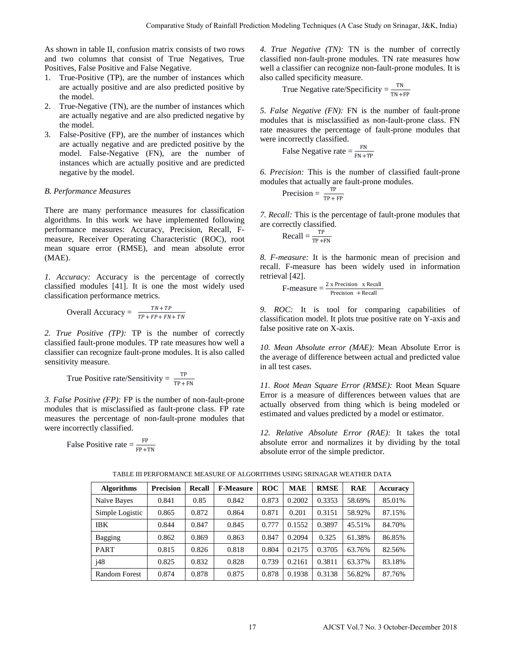As shown in table II, confusion matrix consists of two rows and two columns that consist of True Negatives, True Positives, False Positive and False Negative.

- 1. True-Positive (TP), are the number of instances which are actually positive and are also predicted positive by the model.
- 2. True-Negative (TN), are the number of instances which are actually negative and are also predicted negative by the model.
- 3. False-Positive (FP), are the number of instances which are actually negative and are predicted positive by the model. False-Negative (FN), are the number of instances which are actually positive and are predicted negative by the model.

# *B. Performance Measures*

There are many performance measures for classification algorithms. In this work we have implemented following performance measures: Accuracy, Precision, Recall, Fmeasure, Receiver Operating Characteristic (ROC), root mean square error (RMSE), and mean absolute error (MAE).

*1. Accuracy:* Accuracy is the percentage of correctly classified modules [41]. It is one the most widely used classification performance metrics.

Overall Accuracy =  $\frac{TN + TP}{TP + FP + FN + TN}$ 

*2. True Positive (TP):* TP is the number of correctly classified fault-prone modules. TP rate measures how well a classifier can recognize fault-prone modules. It is also called sensitivity measure.

True Positive rate/Sensitivity = 
$$
\frac{TP}{TP + FN}
$$

*3. False Positive (FP):* FP is the number of non-fault-prone modules that is misclassified as fault-prone class. FP rate measures the percentage of non-fault-prone modules that were incorrectly classified.

False Positive rate = 
$$
\frac{\text{FP}}{\text{FP} + \text{TN}}
$$

False Negative rate = 
$$
\frac{FN}{FN + TP}
$$

$$
Precision = \frac{TP}{TP + FP}
$$

$$
Recall = \frac{TP}{TP + FN}
$$

$$
F-measure = \frac{2 \times Precision \times Recall}{Precision + Recall}
$$

|                                                                                                                                                                                                                                                                                                                                                                                                                                   |                                                                                                                                                                                                                                    |        |                  |                                                                                                                                                                                                                                                                                                                                                                                                                                                                                                                                                  |                                                                                                                                                                                                                                                                                |             |            |                 | Comparative Study of Rainfall Prediction Modeling Techniques (A Case Study on Srinagar, J&K, India) |  |
|-----------------------------------------------------------------------------------------------------------------------------------------------------------------------------------------------------------------------------------------------------------------------------------------------------------------------------------------------------------------------------------------------------------------------------------|------------------------------------------------------------------------------------------------------------------------------------------------------------------------------------------------------------------------------------|--------|------------------|--------------------------------------------------------------------------------------------------------------------------------------------------------------------------------------------------------------------------------------------------------------------------------------------------------------------------------------------------------------------------------------------------------------------------------------------------------------------------------------------------------------------------------------------------|--------------------------------------------------------------------------------------------------------------------------------------------------------------------------------------------------------------------------------------------------------------------------------|-------------|------------|-----------------|-----------------------------------------------------------------------------------------------------|--|
|                                                                                                                                                                                                                                                                                                                                                                                                                                   | able II, confusion matrix consists of two rows<br>umns that consist of True Negatives, True<br>se Positive and False Negative.<br>itive (TP), are the number of instances which<br>lly positive and are also predicted positive by |        |                  |                                                                                                                                                                                                                                                                                                                                                                                                                                                                                                                                                  | 4. True Negative (TN): TN is the number of correctly<br>classified non-fault-prone modules. TN rate measures hov<br>well a classifier can recognize non-fault-prone modules. It i<br>also called specificity measure.<br>True Negative rate/Specificity = $\frac{TN}{TN + FP}$ |             |            |                 |                                                                                                     |  |
| ative (TN), are the number of instances which<br>ly negative and are also predicted negative by<br>itive (FP), are the number of instances which<br>lly negative and are predicted positive by the<br>False-Negative (FN), are the number of<br>which are actually positive and are predicted<br>by the model.                                                                                                                    |                                                                                                                                                                                                                                    |        |                  | 5. False Negative (FN): FN is the number of fault-pron<br>modules that is misclassified as non-fault-prone class. Fl<br>rate measures the percentage of fault-prone modules that<br>were incorrectly classified.<br>False Negative rate $=$ $\frac{FN}{FN + TP}$<br>6. Precision: This is the number of classified fault-pron<br>modules that actually are fault-prone modules.                                                                                                                                                                  |                                                                                                                                                                                                                                                                                |             |            |                 |                                                                                                     |  |
| ce Measures<br>any performance measures for classification<br>i this work we have implemented following<br>measures: Accuracy, Precision, Recall, F-<br>reiver Operating Characteristic (ROC), root<br>error (RMSE), and mean absolute error<br>Accuracy is the percentage of correctly<br>dules [41]. It is one the most widely used                                                                                             |                                                                                                                                                                                                                                    |        |                  | Precision = $\frac{TP}{TP + FP}$<br>7. Recall: This is the percentage of fault-prone modules that<br>are correctly classified.<br>$Recall = \frac{TP}{TP + FN}$                                                                                                                                                                                                                                                                                                                                                                                  |                                                                                                                                                                                                                                                                                |             |            |                 |                                                                                                     |  |
|                                                                                                                                                                                                                                                                                                                                                                                                                                   |                                                                                                                                                                                                                                    |        |                  | 8. <i>F-measure</i> : It is the harmonic mean of precision and<br>recall. F-measure has been widely used in information<br>retrieval [42].<br>F-measure $=$ $\frac{2 \times \text{Precision} \times \text{Recall}}{\text{Precision} + \text{Recall}}$                                                                                                                                                                                                                                                                                            |                                                                                                                                                                                                                                                                                |             |            |                 |                                                                                                     |  |
| performance metrics.<br>Accuracy = $\frac{TN + TP}{TP + FP + FN + TN}$                                                                                                                                                                                                                                                                                                                                                            |                                                                                                                                                                                                                                    |        |                  | 9. ROC: It is tool for comparing capabilities o<br>classification model. It plots true positive rate on Y-axis and<br>false positive rate on X-axis.                                                                                                                                                                                                                                                                                                                                                                                             |                                                                                                                                                                                                                                                                                |             |            |                 |                                                                                                     |  |
| <i>itive (TP):</i> TP is the number of correctly<br>t-prone modules. TP rate measures how well a<br>recognize fault-prone modules. It is also called<br>asure.<br>ositive rate/Sensitivity = $\frac{TP}{TP + FN}$<br>ive $(FP)$ : FP is the number of non-fault-prone<br>is misclassified as fault-prone class. FP rate<br>percentage of non-fault-prone modules that<br>tly classified.<br>ositive rate $=$ $\frac{FP}{FP + TN}$ |                                                                                                                                                                                                                                    |        |                  | 10. Mean Absolute error (MAE): Mean Absolute Error i<br>the average of difference between actual and predicted value<br>in all test cases.<br>11. Root Mean Square Error (RMSE): Root Mean Squar<br>Error is a measure of differences between values that are<br>actually observed from thing which is being modeled o<br>estimated and values predicted by a model or estimator.<br>12. Relative Absolute Error (RAE): It takes the tota<br>absolute error and normalizes it by dividing by the tota<br>absolute error of the simple predictor. |                                                                                                                                                                                                                                                                                |             |            |                 |                                                                                                     |  |
|                                                                                                                                                                                                                                                                                                                                                                                                                                   |                                                                                                                                                                                                                                    |        |                  |                                                                                                                                                                                                                                                                                                                                                                                                                                                                                                                                                  |                                                                                                                                                                                                                                                                                |             |            |                 |                                                                                                     |  |
| <b>Algorithms</b>                                                                                                                                                                                                                                                                                                                                                                                                                 | <b>Precision</b>                                                                                                                                                                                                                   | Recall | <b>F-Measure</b> | <b>ROC</b>                                                                                                                                                                                                                                                                                                                                                                                                                                                                                                                                       | $\mathbf{MAE}$                                                                                                                                                                                                                                                                 | <b>RMSE</b> | <b>RAE</b> | <b>Accuracy</b> |                                                                                                     |  |
| Naïve Bayes                                                                                                                                                                                                                                                                                                                                                                                                                       | 0.841                                                                                                                                                                                                                              | 0.85   | 0.842            | 0.873                                                                                                                                                                                                                                                                                                                                                                                                                                                                                                                                            | 0.2002                                                                                                                                                                                                                                                                         | 0.3353      | 58.69%     | 85.01%          |                                                                                                     |  |
| Simple Logistic                                                                                                                                                                                                                                                                                                                                                                                                                   | 0.865                                                                                                                                                                                                                              | 0.872  | 0.864            | 0.871                                                                                                                                                                                                                                                                                                                                                                                                                                                                                                                                            | 0.201                                                                                                                                                                                                                                                                          | 0.3151      | 58.92%     | 87.15%          |                                                                                                     |  |
| <b>IBK</b>                                                                                                                                                                                                                                                                                                                                                                                                                        | 0.844                                                                                                                                                                                                                              | 0.847  | 0.845            | 0.777                                                                                                                                                                                                                                                                                                                                                                                                                                                                                                                                            | 0.1552                                                                                                                                                                                                                                                                         | 0.3897      | 45.51%     | 84.70%          |                                                                                                     |  |
| Bagging                                                                                                                                                                                                                                                                                                                                                                                                                           | 0.862                                                                                                                                                                                                                              | 0.869  | 0.863            | 0.847                                                                                                                                                                                                                                                                                                                                                                                                                                                                                                                                            | 0.2094                                                                                                                                                                                                                                                                         | 0.325       | 61.38%     | 86.85%          |                                                                                                     |  |
| PART                                                                                                                                                                                                                                                                                                                                                                                                                              | 0.815                                                                                                                                                                                                                              | 0.826  | 0.818            | 0.804                                                                                                                                                                                                                                                                                                                                                                                                                                                                                                                                            | 0.2175                                                                                                                                                                                                                                                                         | 0.3705      | 63.76%     | 82.56%          |                                                                                                     |  |
| i48                                                                                                                                                                                                                                                                                                                                                                                                                               | 0.825                                                                                                                                                                                                                              | 0.832  | 0.828            | 0.739                                                                                                                                                                                                                                                                                                                                                                                                                                                                                                                                            | 0.2161                                                                                                                                                                                                                                                                         | 0.3811      | 63.37%     | 83.18%          |                                                                                                     |  |
| <b>Random Forest</b>                                                                                                                                                                                                                                                                                                                                                                                                              | 0.874                                                                                                                                                                                                                              | 0.878  | 0.875            | 0.878                                                                                                                                                                                                                                                                                                                                                                                                                                                                                                                                            | 0.1938                                                                                                                                                                                                                                                                         | 0.3138      | 56.82%     | 87.76%          |                                                                                                     |  |
|                                                                                                                                                                                                                                                                                                                                                                                                                                   |                                                                                                                                                                                                                                    |        | 17               |                                                                                                                                                                                                                                                                                                                                                                                                                                                                                                                                                  |                                                                                                                                                                                                                                                                                |             |            |                 | AJCST Vol.7 No. 3 October-December 2018                                                             |  |

TABLE III PERFORMANCE MEASURE OF ALGORITHMS USING SRINAGAR WEATHER DATA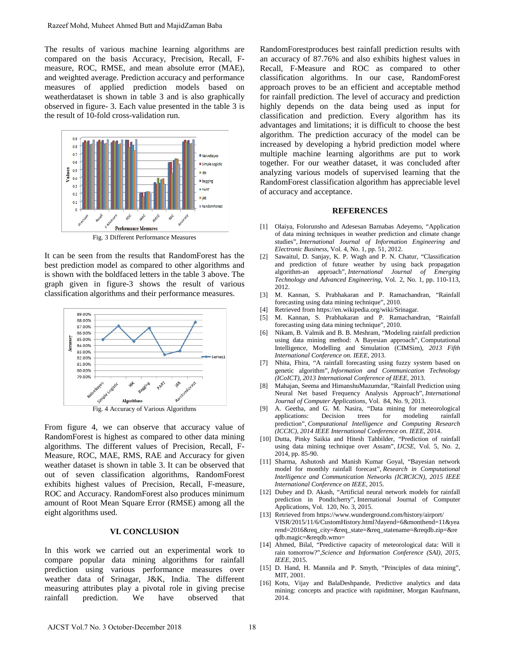The results of various machine learning algorithms are compared on the basis Accuracy, Precision, Recall, Fmeasure, ROC, RMSE, and mean absolute error (MAE), and weighted average. Prediction accuracy and performance measures of applied prediction models based on weatherdataset is shown in table 3 and is also graphically observed in figure- 3. Each value presented in the table 3 is the result of 10-fold cross-validation run.



Fig. 3 Different Performance Measures

It can be seen from the results that RandomForest has the best prediction model as compared to other algorithms and is shown with the boldfaced letters in the table 3 above. The graph given in figure-3 shows the result of various classification algorithms and their performance measures.



Fig. 4 Accuracy of Various Algorithms

From figure 4, we can observe that accuracy value of RandomForest is highest as compared to other data mining algorithms. The different values of Precision, Recall, F-Measure, ROC, MAE, RMS, RAE and Accuracy for given weather dataset is shown in table 3. It can be observed that out of seven classification algorithms, RandomForest exhibits highest values of Precision, Recall, F-measure, ROC and Accuracy. RandomForest also produces minimum amount of Root Mean Square Error (RMSE) among all the eight algorithms used. Razeef Mohd, Muheet Ahmed Butt and MajidZaman Baba<br>
The results of various machine learning algorithms are<br>
the results of various machine learning algorithms are<br>
nearest PCC, MSE, and mean absolute error (MAE), excel, a

# **VI. CONCLUSION**

In this work we carried out an experimental work to compare popular data mining algorithms for rainfall prediction using various performance measures over weather data of Srinagar, J&K, India. The different measuring attributes play a pivotal role in giving precise rainfall prediction. We have observed that RandomForestproduces best rainfall prediction results with an accuracy of 87.76% and also exhibits highest values in Recall, F-Measure and ROC as compared to other classification algorithms. In our case, RandomForest approach proves to be an efficient and acceptable method for rainfall prediction. The level of accuracy and prediction highly depends on the data being used as input for classification and prediction. Every algorithm has its advantages and limitations; it is difficult to choose the best algorithm. The prediction accuracy of the model can be increased by developing a hybrid prediction model where multiple machine learning algorithms are put to work together. For our weather dataset, it was concluded after analyzing various models of supervised learning that the RandomForest classification algorithm has appreciable level of accuracy and acceptance.

#### **REFERENCES**

- [1] Olaiya, Folorunsho and Adesesan Barnabas Adeyemo, "Application of data mining techniques in weather prediction and climate change studies", *International Journal of Information Engineering and Electronic Business,* Vol. 4, No. 1, pp. 51, 2012.
- [2] Sawaitul, D. Sanjay, K. P. Wagh and P. N. Chatur, "Classification and prediction of future weather by using back propagation algorithm-an approach", *International Journal of Emerging Technology and Advanced Engineering,* Vol. 2, No. 1, pp. 110-113, 2012.
- [3] M. Kannan, S. Prabhakaran and P. Ramachandran, "Rainfall forecasting using data mining technique", 2010.
- [4] Retrieved fro[m https://en.wikipedia.org/wiki/Srinagar.](https://en.wikipedia.org/wiki/Srinagar)
- [5] M. Kannan, S. Prabhakaran and P. Ramachandran, "Rainfall forecasting using data mining technique", 2010.
- [6] Nikam, B. Valmik and B. B. Meshram, "Modeling rainfall prediction using data mining method: A Bayesian approach", Computational Intelligence, Modelling and Simulation (CIMSim), *2013 Fifth International Conference on. IEEE,* 2013.
- [7] Nhita, Fhira, "A rainfall forecasting using fuzzy system based on genetic algorithm", *Information and Communication Technology (ICoICT), 2013 International Conference of IEEE,* 2013.
- [8] Mahajan, Seema and HimanshuMazumdar, "Rainfall Prediction using Neural Net based Frequency Analysis Approach", *International Journal of Computer Applications,* Vol. 84, No. 9, 2013.
- [9] A. Geetha, and G. M. Nasira, "Data mining for meteorological applications: Decision prediction", *Computational Intelligence and Computing Research (ICCIC), 2014 IEEE International Conference on. IEEE,* 2014.
- [10] Dutta, Pinky Saikia and Hitesh Tahbilder, "Prediction of rainfall using data mining technique over Assam", *IJCSE,* Vol. 5, No. 2, 2014, pp. 85-90.
- [11] Sharma, Ashutosh and Manish Kumar Goyal, "Bayesian network model for monthly rainfall forecast", *Research in Computational Intelligence and Communication Networks (ICRCICN), 2015 IEEE International Conference on IEEE,* 2015.
- [12] Dubey and D. Akash, "Artificial neural network models for rainfall prediction in Pondicherry", International Journal of Computer Applications, Vol. 120, No. 3, 2015.
- [13] Retrieved from https://www.wunderground.com/history/airport/ VISR/2015/11/6/CustomHistory.html?dayend=6&monthend=11&yea rend=2016&req\_city=&req\_state=&req\_statename=&reqdb.zip=&re qdb.magic=&reqdb.wmo=
- [14] Ahmed, Bilal, "Predictive capacity of meteorological data: Will it rain tomorrow?",*Science and Information Conference (SAI), 2015, IEEE,* 2015.
- [15] D. Hand, H. Mannila and P. Smyth, "Principles of data mining", MIT, 2001.
- [16] Kotu, Vijay and BalaDeshpande, Predictive analytics and data mining: concepts and practice with rapidminer, Morgan Kaufmann, 2014.